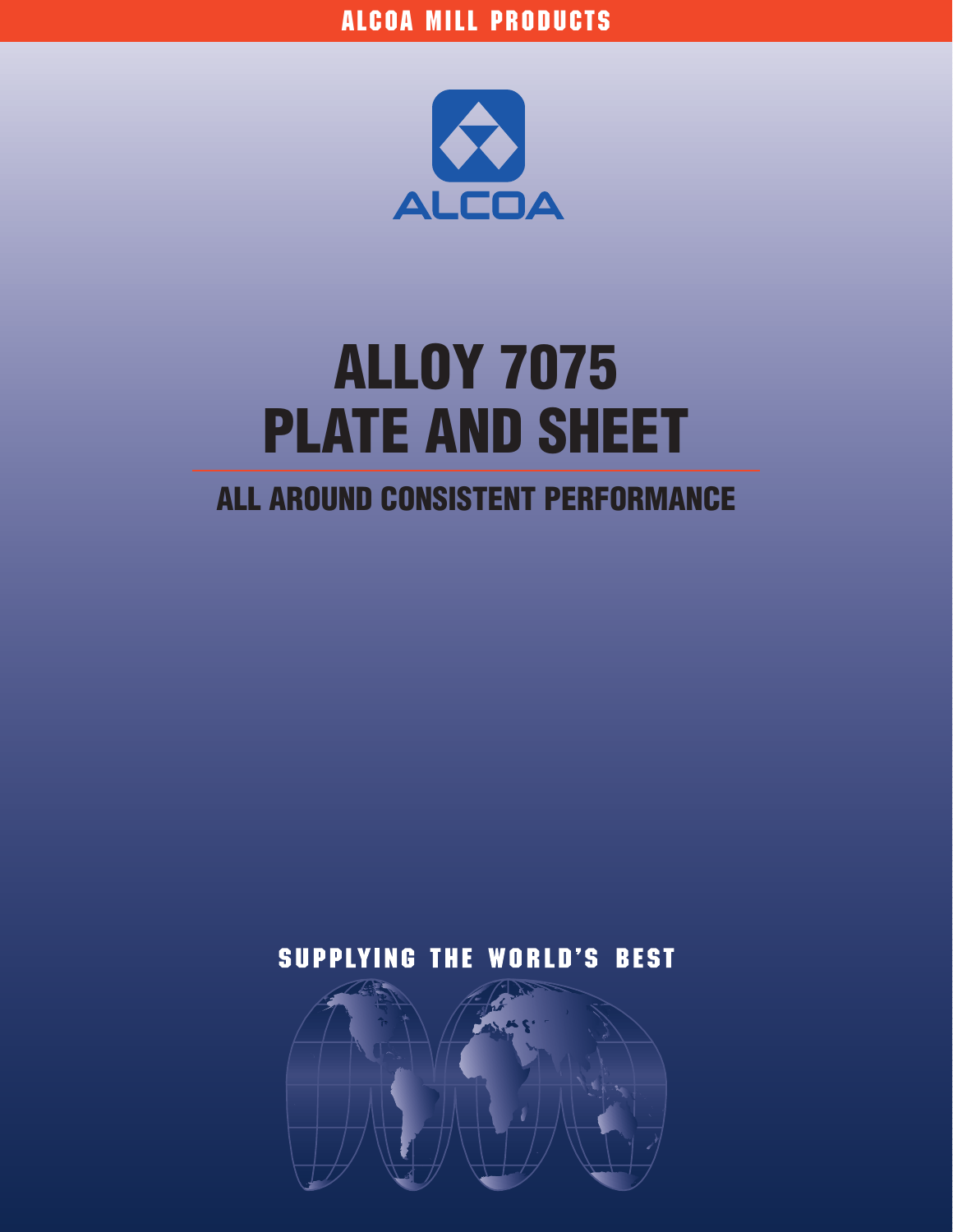

# **ALLOY 7075 PLATE AND SHEET**

# **ALL AROUND CONSISTENT PERFORMANCE**

# **SUPPLYING THE WORLD'S BEST**

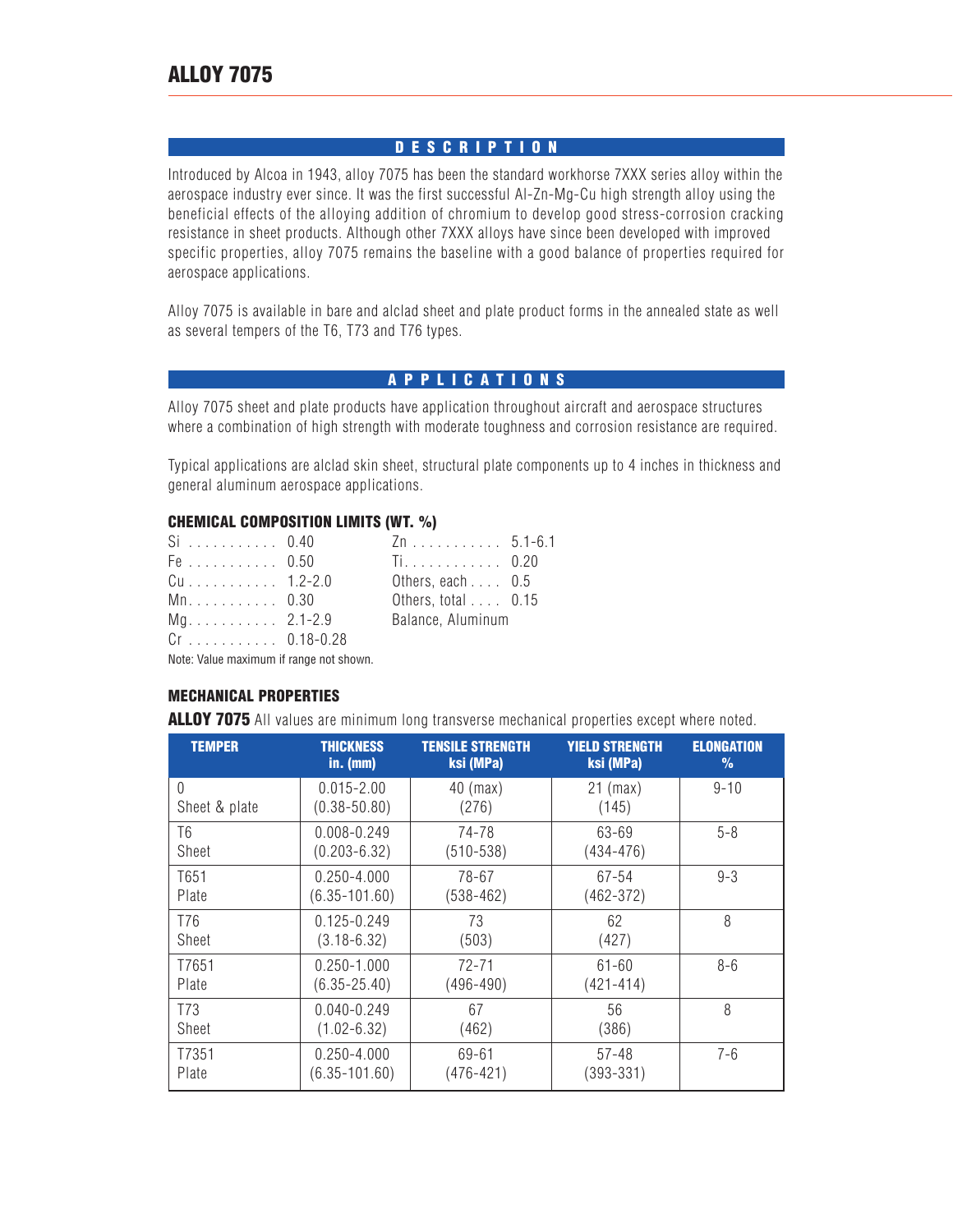# **DESCRIPTION**

Introduced by Alcoa in 1943, alloy 7075 has been the standard workhorse 7XXX series alloy within the aerospace industry ever since. It was the first successful Al-Zn-Mg-Cu high strength alloy using the beneficial effects of the alloying addition of chromium to develop good stress-corrosion cracking resistance in sheet products. Although other 7XXX alloys have since been developed with improved specific properties, alloy 7075 remains the baseline with a good balance of properties required for aerospace applications.

Alloy 7075 is available in bare and alclad sheet and plate product forms in the annealed state as well as several tempers of the T6, T73 and T76 types.

# **APPLICATIONS**

Alloy 7075 sheet and plate products have application throughout aircraft and aerospace structures where a combination of high strength with moderate toughness and corrosion resistance are required.

Typical applications are alclad skin sheet, structural plate components up to 4 inches in thickness and general aluminum aerospace applications.

#### **CHEMICAL COMPOSITION LIMITS (WT. %)**

| $Si$ 0.40      | Zn 5.1-6.1                  |  |
|----------------|-----------------------------|--|
| Fe 0.50        | Ti 0.20                     |  |
| Cu 1.2-2.0     | Others, each $\ldots$ 0.5   |  |
| Mn. 0.30       | Others, total $\ldots$ 0.15 |  |
| $Mq$ 2.1-2.9   | Balance, Aluminum           |  |
| $Cr$ 0.18-0.28 |                             |  |

Note: Value maximum if range not shown.

#### **MECHANICAL PROPERTIES**

**ALLOY 7075** All values are minimum long transverse mechanical properties except where noted.

| <b>TEMPER</b>   | <b>THICKNESS</b><br>$in.$ (mm) | <b>TENSILE STRENGTH</b><br>ksi (MPa) | <b>YIELD STRENGTH</b><br>ksi (MPa) | <b>ELONGATION</b><br>$\%$ |
|-----------------|--------------------------------|--------------------------------------|------------------------------------|---------------------------|
| 0               | $0.015 - 2.00$                 | $40$ (max)                           | $21$ (max)                         | $9 - 10$                  |
| Sheet & plate   | $(0.38 - 50.80)$               | (276)                                | (145)                              |                           |
| T6              | $0.008 - 0.249$                | 74-78                                | 63-69                              | $5 - 8$                   |
| Sheet           | $(0.203 - 6.32)$               | $(510 - 538)$                        | $(434 - 476)$                      |                           |
| T651            | $0.250 - 4.000$                | 78-67                                | 67-54                              | $9 - 3$                   |
| Plate           | $(6.35 - 101.60)$              | $(538 - 462)$                        | $(462 - 372)$                      |                           |
| T76             | $0.125 - 0.249$                | 73                                   | 62                                 | 8                         |
| Sheet           | $(3.18 - 6.32)$                | (503)                                | (427)                              |                           |
| T7651           | $0.250 - 1.000$                | $72 - 71$                            | $61 - 60$                          | $8 - 6$                   |
| Plate           | $(6.35 - 25.40)$               | $(496 - 490)$                        | $(421 - 414)$                      |                           |
| T <sub>73</sub> | $0.040 - 0.249$                | 67                                   | 56                                 | 8                         |
| Sheet           | $(1.02 - 6.32)$                | (462)                                | (386)                              |                           |
| T7351           | $0.250 - 4.000$                | 69-61                                | 57-48                              | $7 - 6$                   |
| Plate           | $(6.35 - 101.60)$              | $(476 - 421)$                        | $(393 - 331)$                      |                           |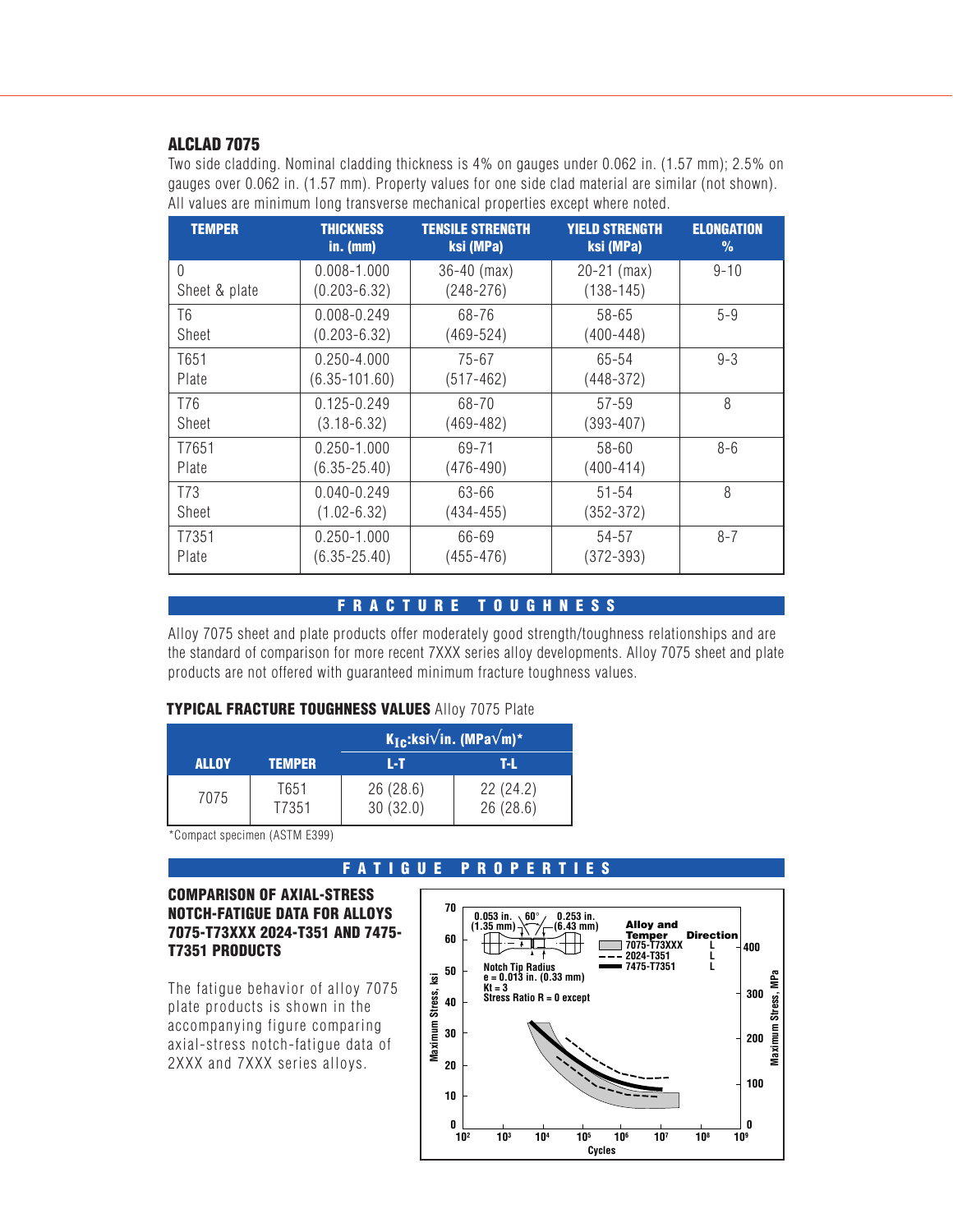#### **ALCLAD 7075**

Two side cladding. Nominal cladding thickness is 4% on gauges under 0.062 in. (1.57 mm); 2.5% on gauges over 0.062 in. (1.57 mm). Property values for one side clad material are similar (not shown). All values are minimum long transverse mechanical properties except where noted.

| <b>TEMPER</b> | <b>THICKNESS</b>  | <b>TENSILE STRENGTH</b> | <b>YIELD STRENGTH</b> | <b>ELONGATION</b> |
|---------------|-------------------|-------------------------|-----------------------|-------------------|
|               | $in.$ (mm)        | ksi (MPa)               | ksi (MPa)             | $\frac{9}{6}$     |
| $\theta$      | $0.008 - 1.000$   | $36-40$ (max)           | $20-21$ (max)         | $9 - 10$          |
| Sheet & plate | $(0.203 - 6.32)$  | $(248 - 276)$           | $(138 - 145)$         |                   |
| T6            | $0.008 - 0.249$   | 68-76                   | 58-65                 | $5 - 9$           |
| Sheet         | $(0.203 - 6.32)$  | $(469 - 524)$           | $(400 - 448)$         |                   |
| T651          | $0.250 - 4.000$   | $75 - 67$               | 65-54                 | $9 - 3$           |
| Plate         | $(6.35 - 101.60)$ | $(517-462)$             | $(448 - 372)$         |                   |
| T76           | $0.125 - 0.249$   | 68-70                   | $57 - 59$             | 8                 |
| Sheet         | $(3.18 - 6.32)$   | $(469 - 482)$           | $(393 - 407)$         |                   |
| T7651         | $0.250 - 1.000$   | 69-71                   | $58 - 60$             | $8 - 6$           |
| Plate         | $(6.35 - 25.40)$  | $(476 - 490)$           | $(400 - 414)$         |                   |
| T73           | $0.040 - 0.249$   | 63-66                   | $51 - 54$             | 8                 |
| Sheet         | $(1.02 - 6.32)$   | (434-455)               | $(352 - 372)$         |                   |
| T7351         | $0.250 - 1.000$   | 66-69                   | 54-57                 | $8 - 7$           |
| Plate         | $(6.35 - 25.40)$  | $(455 - 476)$           | $(372 - 393)$         |                   |

# **FRACTURE TOUGHNESS**

Alloy 7075 sheet and plate products offer moderately good strength/toughness relationships and are the standard of comparison for more recent 7XXX series alloy developments. Alloy 7075 sheet and plate products are not offered with guaranteed minimum fracture toughness values.

#### **TYPICAL FRACTURE TOUGHNESS VALUES** Alloy 7075 Plate

|              |               | $\mathsf{K}_{\mathsf{I}\mathbf{c}}$ :ksi $\sqrt{}$ in. (MPa $\sqrt{}$ m)* $\overline{}$ |                      |
|--------------|---------------|-----------------------------------------------------------------------------------------|----------------------|
| <b>ALLOY</b> | <b>TEMPER</b> | LТ                                                                                      | T-L                  |
| 7075         | T651<br>T7351 | 26(28.6)<br>30(32.0)                                                                    | 22(24.2)<br>26(28.6) |

\*Compact specimen (ASTM E399)

#### **FATIGUE PROPERTIES**

#### **COMPARISON OF AXIAL-STRESS NOTCH-FATIGUE DATA FOR ALLOYS 7075-T73XXX 2024-T351 AND 7475- T7351 PRODUCTS**

The fatigue behavior of alloy 7075 plate products is shown in the accompanying figure comparing axial-stress notch-fatigue data of 2XXX and 7XXX series alloys.